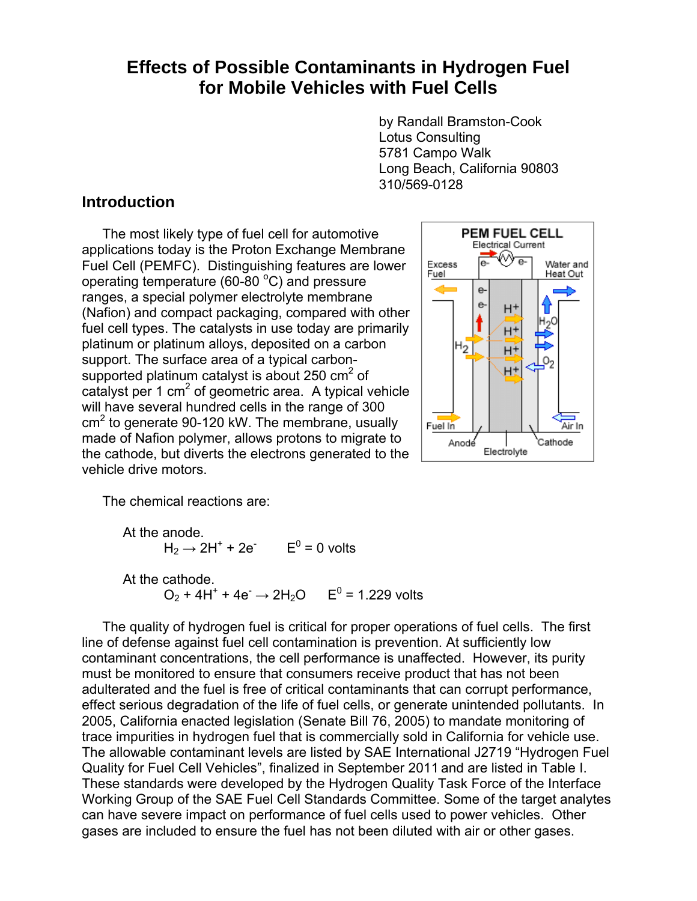# **Effects of Possible Contaminants in Hydrogen Fuel for Mobile Vehicles with Fuel Cells**

by Randall Bramston-Cook Lotus Consulting 5781 Campo Walk Long Beach, California 90803 310/569-0128

### **Introduction**

 The most likely type of fuel cell for automotive applications today is the Proton Exchange Membrane Fuel Cell (PEMFC). Distinguishing features are lower operating temperature (60-80 $^{\circ}$ C) and pressure ranges, a special polymer electrolyte membrane (Nafion) and compact packaging, compared with other fuel cell types. The catalysts in use today are primarily platinum or platinum alloys, deposited on a carbon support. The surface area of a typical carbonsupported platinum catalyst is about 250  $\text{cm}^2$  of catalyst per 1 cm<sup>2</sup> of geometric area. A typical vehicle will have several hundred cells in the range of 300  $cm<sup>2</sup>$  to generate 90-120 kW. The membrane, usually made of Nafion polymer, allows protons to migrate to the cathode, but diverts the electrons generated to the vehicle drive motors.



The chemical reactions are:

```
 At the anode. 
H_2 \rightarrow 2H^+ + 2e^- E^0 = 0 volts
       At the cathode. 
O_2 + 4H^+ + 4e^- \rightarrow 2H_2O E^0 = 1.229 volts
```
 The quality of hydrogen fuel is critical for proper operations of fuel cells. The first line of defense against fuel cell contamination is prevention. At sufficiently low contaminant concentrations, the cell performance is unaffected. However, its purity must be monitored to ensure that consumers receive product that has not been adulterated and the fuel is free of critical contaminants that can corrupt performance, effect serious degradation of the life of fuel cells, or generate unintended pollutants. In 2005, California enacted legislation (Senate Bill 76, 2005) to mandate monitoring of trace impurities in hydrogen fuel that is commercially sold in California for vehicle use. The allowable contaminant levels are listed by SAE International J2719 "Hydrogen Fuel Quality for Fuel Cell Vehicles", finalized in September 2011 and are listed in Table I. These standards were developed by the Hydrogen Quality Task Force of the Interface Working Group of the SAE Fuel Cell Standards Committee. Some of the target analytes can have severe impact on performance of fuel cells used to power vehicles. Other gases are included to ensure the fuel has not been diluted with air or other gases.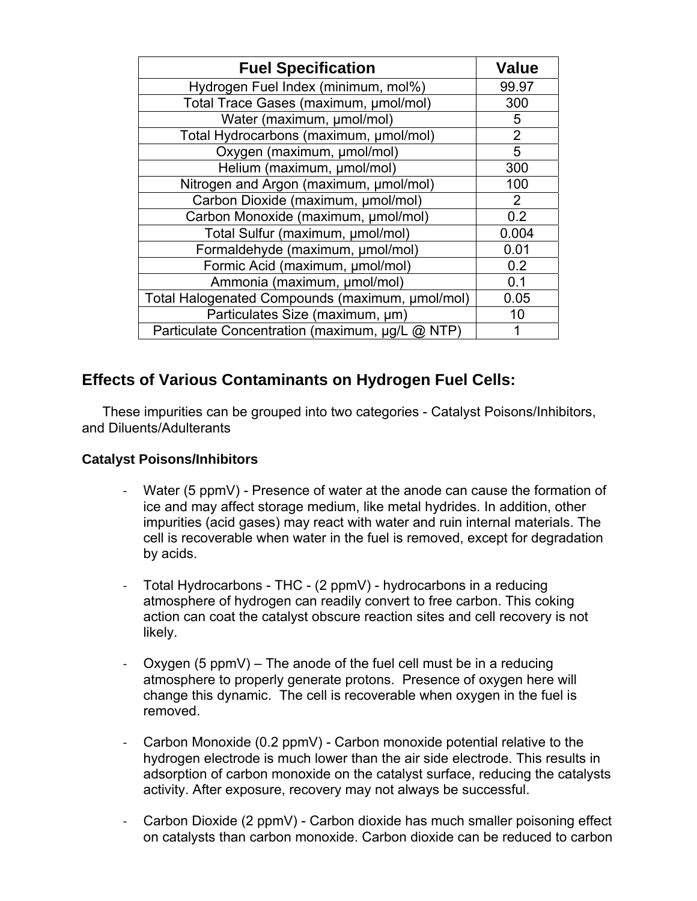| <b>Fuel Specification</b>                       | <b>Value</b>   |
|-------------------------------------------------|----------------|
| Hydrogen Fuel Index (minimum, mol%)             | 99.97          |
| Total Trace Gases (maximum, µmol/mol)           | 300            |
| Water (maximum, µmol/mol)                       | 5              |
| Total Hydrocarbons (maximum, µmol/mol)          | $\overline{2}$ |
| Oxygen (maximum, µmol/mol)                      | 5              |
| Helium (maximum, µmol/mol)                      | 300            |
| Nitrogen and Argon (maximum, µmol/mol)          | 100            |
| Carbon Dioxide (maximum, µmol/mol)              | $\overline{2}$ |
| Carbon Monoxide (maximum, µmol/mol)             | 0.2            |
| Total Sulfur (maximum, µmol/mol)                | 0.004          |
| Formaldehyde (maximum, µmol/mol)                | 0.01           |
| Formic Acid (maximum, µmol/mol)                 | 0.2            |
| Ammonia (maximum, µmol/mol)                     | 0.1            |
| Total Halogenated Compounds (maximum, umol/mol) | 0.05           |
| Particulates Size (maximum, um)                 | 10             |
| Particulate Concentration (maximum, µg/L @ NTP) |                |

# **Effects of Various Contaminants on Hydrogen Fuel Cells:**

 These impurities can be grouped into two categories - Catalyst Poisons/Inhibitors, and Diluents/Adulterants

#### **Catalyst Poisons/Inhibitors**

- ‐ Water (5 ppmV) Presence of water at the anode can cause the formation of ice and may affect storage medium, like metal hydrides. In addition, other impurities (acid gases) may react with water and ruin internal materials. The cell is recoverable when water in the fuel is removed, except for degradation by acids.
- ‐ Total Hydrocarbons THC (2 ppmV) hydrocarbons in a reducing atmosphere of hydrogen can readily convert to free carbon. This coking action can coat the catalyst obscure reaction sites and cell recovery is not likely.
- Oxygen (5 ppmV) The anode of the fuel cell must be in a reducing atmosphere to properly generate protons. Presence of oxygen here will change this dynamic. The cell is recoverable when oxygen in the fuel is removed.
- ‐ Carbon Monoxide (0.2 ppmV) Carbon monoxide potential relative to the hydrogen electrode is much lower than the air side electrode. This results in adsorption of carbon monoxide on the catalyst surface, reducing the catalysts activity. After exposure, recovery may not always be successful.
- Carbon Dioxide (2 ppmV) Carbon dioxide has much smaller poisoning effect on catalysts than carbon monoxide. Carbon dioxide can be reduced to carbon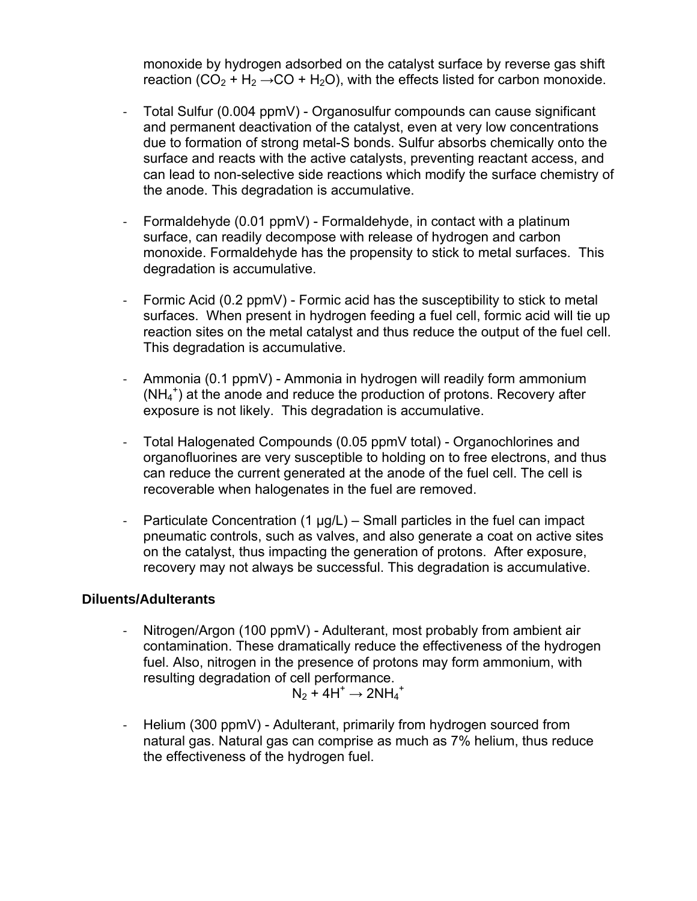monoxide by hydrogen adsorbed on the catalyst surface by reverse gas shift reaction (CO<sub>2</sub> + H<sub>2</sub>  $\rightarrow$  CO + H<sub>2</sub>O), with the effects listed for carbon monoxide.

- ‐ Total Sulfur (0.004 ppmV) Organosulfur compounds can cause significant and permanent deactivation of the catalyst, even at very low concentrations due to formation of strong metal-S bonds. Sulfur absorbs chemically onto the surface and reacts with the active catalysts, preventing reactant access, and can lead to non-selective side reactions which modify the surface chemistry of the anode. This degradation is accumulative.
- ‐ Formaldehyde (0.01 ppmV) Formaldehyde, in contact with a platinum surface, can readily decompose with release of hydrogen and carbon monoxide. Formaldehyde has the propensity to stick to metal surfaces. This degradation is accumulative.
- ‐ Formic Acid (0.2 ppmV) Formic acid has the susceptibility to stick to metal surfaces. When present in hydrogen feeding a fuel cell, formic acid will tie up reaction sites on the metal catalyst and thus reduce the output of the fuel cell. This degradation is accumulative.
- ‐ Ammonia (0.1 ppmV) Ammonia in hydrogen will readily form ammonium (NH<sub>4</sub><sup>+</sup>) at the anode and reduce the production of protons. Recovery after exposure is not likely. This degradation is accumulative.
- ‐ Total Halogenated Compounds (0.05 ppmV total) Organochlorines and organofluorines are very susceptible to holding on to free electrons, and thus can reduce the current generated at the anode of the fuel cell. The cell is recoverable when halogenates in the fuel are removed.
- Particulate Concentration  $(1 \mu g/L)$  Small particles in the fuel can impact pneumatic controls, such as valves, and also generate a coat on active sites on the catalyst, thus impacting the generation of protons. After exposure, recovery may not always be successful. This degradation is accumulative.

#### **Diluents/Adulterants**

‐ Nitrogen/Argon (100 ppmV) - Adulterant, most probably from ambient air contamination. These dramatically reduce the effectiveness of the hydrogen fuel. Also, nitrogen in the presence of protons may form ammonium, with resulting degradation of cell performance.

$$
N_2 + 4H^+ \rightarrow 2NH_4{}^+
$$

‐ Helium (300 ppmV) - Adulterant, primarily from hydrogen sourced from natural gas. Natural gas can comprise as much as 7% helium, thus reduce the effectiveness of the hydrogen fuel.